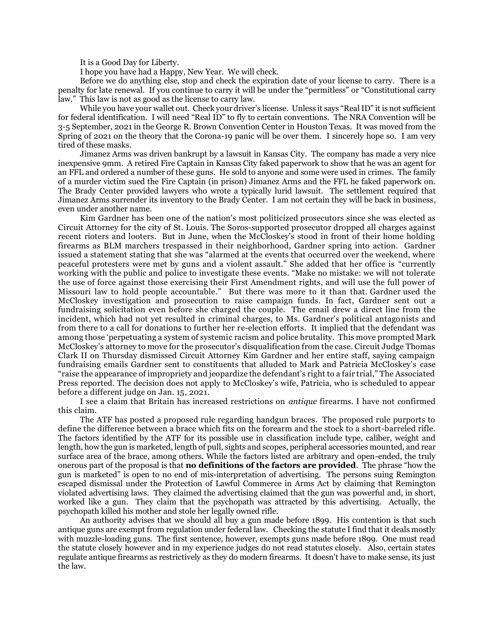It is a Good Day for Liberty.

I hope you have had a Happy, New Year. We will check.

Before we do anything else, stop and check the expiration date of your license to carry. There is a penalty for late renewal. If you continue to carry it will be under the "permitless" or "Constitutional carry law." This law is not as good as the license to carry law.

While you have your wallet out. Check your driver's license. Unless it says "Real ID" it is not sufficient for federal identification. I will need "Real ID" to fly to certain conventions. The NRA Convention will be 3-5 September, 2021 in the George R. Brown Convention Center in Houston Texas. It was moved from the Spring of 2021 on the theory that the Corona-19 panic will be over them. I sincerely hope so. I am very tired of these masks.

Jimanez Arms was driven bankrupt by a lawsuit in Kansas City. The company has made a very nice inexpensive 9mm. A retired Fire Captain in Kansas City faked paperwork to show that he was an agent for an FFL and ordered a number of these guns. He sold to anyone and some were used in crimes. The family of a murder victim sued the Fire Captain (in prison) Jimanez Arms and the FFL he faked paperwork on. The Brady Center provided lawyers who wrote a typically lurid lawsuit. The settlement required that Jimanez Arms surrender its inventory to the Brady Center. I am not certain they will be back in business, even under another name.

Kim Gardner has been one of the nation's [most politicized](https://fox2now.com/news/fox-files/there-was-no-political-motivation-whatsoever-kim-gardners-attorney-on-how-gardner-is-standing-her-ground/) prosecutors since she was elected as Circuit Attorney for the city of St. Louis. The [Soros-supported](https://themissouritimes.com/soros-gets-involved-in-st-louis-circuit-attorney-race/) prosecutor [dropped all charges](https://www.stltoday.com/news/local/crime-and-courts/those-arrested-over-two-nights-of-protests-and-unrest-in-st-louis-released-from-jail/article_6c06a78f-b9f3-59f2-842f-0d6c466e84e5.html) against recent rioters and looters. But in June, when the McCloskey's stood in front of their home holding firearms as BLM marchers trespassed in their neighborhood, Gardner spring into action. Gardner issued a statement stating that she was "alarmed at the events that occurred over the weekend, where peaceful protesters were met by guns and a violent assault." She added that her office is "currently working with the public and police to investigate these events. "Make no mistake: we will not tolerate the use of force against those exercising their First Amendment rights, and will use the full power of Missouri law to hold people accountable." But there was more to it than that. [Gardner](https://www.washingtonpost.com/nation/2020/07/16/sen-josh-hawley-calls-civil-rights-probe-st-louis-prosecutor-kim-gardner-over-mccloskey-case/) used the McCloskey investigation and prosecution to raise campaign funds. In fact, Gardner sent out a fundraising solicitation even before she charged the couple. The email drew a direct line from the incident, which had not yet resulted in criminal charges, to Ms. Gardner's political antagonists and from there to a call for donations to further her re-election efforts. It implied that the defendant was among those 'perpetuating a system of systemic racism and police brutality. This move prompted Mark McCloskey's attorney to move for the prosecutor's disqualification from the case. Circuit Judge Thomas Clark II on Thursday dismissed Circuit Attorney Kim Gardner and her entire staff, saying campaign fundraising emails Gardner sent to constituents that alluded to Mark and Patricia McCloskey's case "raise the appearance of impropriety and jeopardize the defendant's right to a fair trial," The Associated Press reported. The decision does not apply to McCloskey's wife, Patricia, who is scheduled to appear before a different judge on Jan. 15, 2021.

I see a claim that Britain has increased restrictions on *antique* firearms. I have not confirmed this claim.

The ATF has posted a proposed rule regarding handgun braces. The proposed rule purports to define the difference between a brace which fits on the forearm and the stock to a short-barreled rifle. The factors identified by the ATF for its possible use in classification include type, caliber, weight and length, how the gun is marketed, length of pull, sights and scopes, peripheral accessories mounted, and rear surface area of the brace, among others. While the factors listed are arbitrary and open-ended, the truly onerous part of the proposal is that **no definitions of the factors are provided**. The phrase "how the gun is marketed" is open to no end of mis-interpretation of advertising. The persons suing Remington escaped dismissal under the Protection of Lawful Commerce in Arms Act by claiming that Remington violated advertising laws. They claimed the advertising claimed that the gun was powerful and, in short, worked like a gun. They claim that the psychopath was attracted by this advertising. Actually, the psychopath killed his mother and stole her legally owned rifle.

An authority advises that we should all buy a gun made before 1899. His contention is that such antique guns are exempt from regulation under federal law. Checking the statute I find that it deals mostly with muzzle-loading guns. The first sentence, however, exempts guns made before 1899. One must read the statute closely however and in my experience judges do not read statutes closely. Also, certain states regulate antique firearms as restrictively as they do modern firearms. It doesn't have to make sense, its just the law.